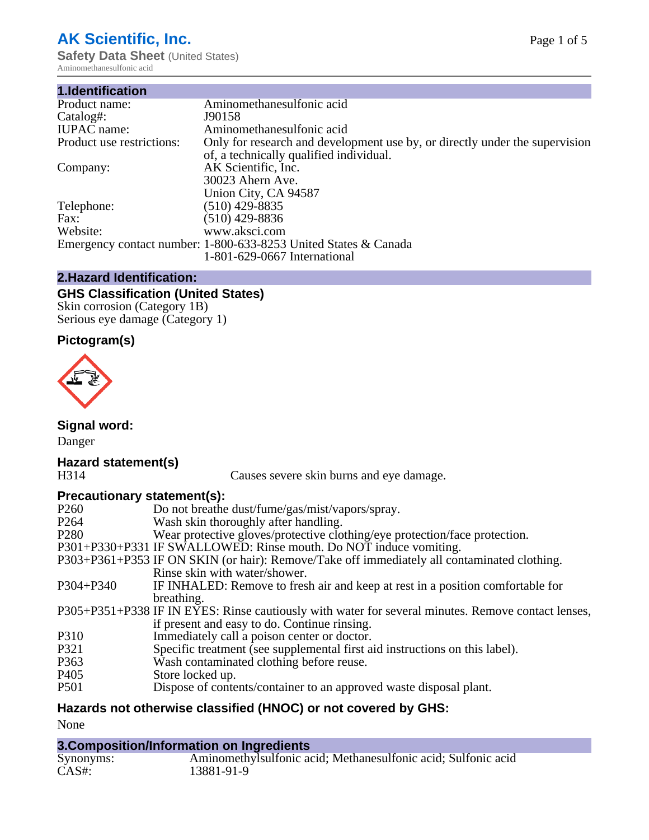# **AK Scientific, Inc.**

**Safety Data Sheet (United States)** Aminomethanesulfonic acid

| 1.Identification          |                                                                             |
|---------------------------|-----------------------------------------------------------------------------|
| Product name:             | Aminomethanesulfonic acid                                                   |
| Catalog#:                 | J90158                                                                      |
| <b>IUPAC</b> name:        | Aminomethanesulfonic acid                                                   |
| Product use restrictions: | Only for research and development use by, or directly under the supervision |
|                           | of, a technically qualified individual.                                     |
| Company:                  | AK Scientific, Inc.                                                         |
|                           | 30023 Ahern Ave.                                                            |
|                           | Union City, CA 94587                                                        |
| Telephone:                | $(510)$ 429-8835                                                            |
| Fax:                      | (510) 429-8836                                                              |
| Website:                  | www.aksci.com                                                               |
|                           | Emergency contact number: 1-800-633-8253 United States & Canada             |
|                           | 1-801-629-0667 International                                                |

# **2.Hazard Identification:**

# **GHS Classification (United States)**

Skin corrosion (Category 1B) Serious eye damage (Category 1)

# **Pictogram(s)**



**Signal word:**

Danger

# **Hazard statement(s)**

Causes severe skin burns and eye damage.

# **Precautionary statement(s):**

| P <sub>260</sub> | Do not breathe dust/fume/gas/mist/vapors/spray.                                                    |
|------------------|----------------------------------------------------------------------------------------------------|
| P <sub>264</sub> | Wash skin thoroughly after handling.                                                               |
| P <sub>280</sub> | Wear protective gloves/protective clothing/eye protection/face protection.                         |
|                  | P301+P330+P331 IF SWALLOWED: Rinse mouth. Do NOT induce vomiting.                                  |
|                  | P303+P361+P353 IF ON SKIN (or hair): Remove/Take off immediately all contaminated clothing.        |
|                  | Rinse skin with water/shower.                                                                      |
| $P304 + P340$    | IF INHALED: Remove to fresh air and keep at rest in a position comfortable for                     |
|                  | breathing.                                                                                         |
|                  | P305+P351+P338 IF IN EYES: Rinse cautiously with water for several minutes. Remove contact lenses, |
|                  | if present and easy to do. Continue rinsing.                                                       |
| P310             | Immediately call a poison center or doctor.                                                        |
| P321             | Specific treatment (see supplemental first aid instructions on this label).                        |
| P363             | Wash contaminated clothing before reuse.                                                           |
| P <sub>405</sub> | Store locked up.                                                                                   |
| <b>P501</b>      | Dispose of contents/container to an approved waste disposal plant.                                 |
|                  |                                                                                                    |

# **Hazards not otherwise classified (HNOC) or not covered by GHS:**

None

# **3.Composition/Information on Ingredients**

| Synonyms: | Aminomethylsulfonic acid; Methanesulfonic acid; Sulfonic acid |
|-----------|---------------------------------------------------------------|
| CAS#      | 13881-91-9                                                    |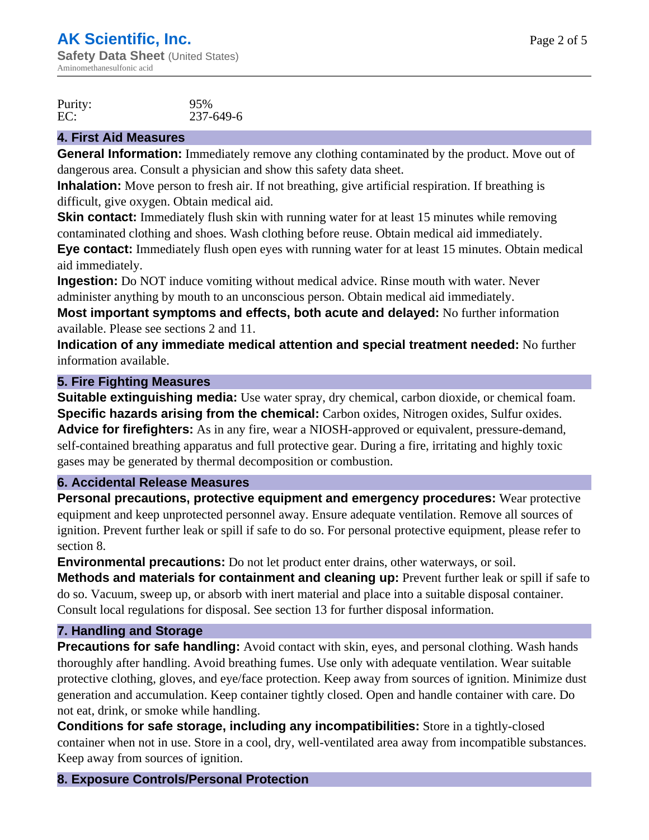Purity: 95%<br>EC: 237-EC: 237-649-6

# **4. First Aid Measures**

**General Information:** Immediately remove any clothing contaminated by the product. Move out of dangerous area. Consult a physician and show this safety data sheet.

**Inhalation:** Move person to fresh air. If not breathing, give artificial respiration. If breathing is difficult, give oxygen. Obtain medical aid.

**Skin contact:** Immediately flush skin with running water for at least 15 minutes while removing contaminated clothing and shoes. Wash clothing before reuse. Obtain medical aid immediately.

**Eye contact:** Immediately flush open eyes with running water for at least 15 minutes. Obtain medical aid immediately.

**Ingestion:** Do NOT induce vomiting without medical advice. Rinse mouth with water. Never administer anything by mouth to an unconscious person. Obtain medical aid immediately.

**Most important symptoms and effects, both acute and delayed:** No further information available. Please see sections 2 and 11.

**Indication of any immediate medical attention and special treatment needed:** No further information available.

# **5. Fire Fighting Measures**

**Suitable extinguishing media:** Use water spray, dry chemical, carbon dioxide, or chemical foam. **Specific hazards arising from the chemical:** Carbon oxides, Nitrogen oxides, Sulfur oxides. **Advice for firefighters:** As in any fire, wear a NIOSH-approved or equivalent, pressure-demand, self-contained breathing apparatus and full protective gear. During a fire, irritating and highly toxic gases may be generated by thermal decomposition or combustion.

### **6. Accidental Release Measures**

**Personal precautions, protective equipment and emergency procedures:** Wear protective equipment and keep unprotected personnel away. Ensure adequate ventilation. Remove all sources of ignition. Prevent further leak or spill if safe to do so. For personal protective equipment, please refer to section 8.

**Environmental precautions:** Do not let product enter drains, other waterways, or soil.

**Methods and materials for containment and cleaning up:** Prevent further leak or spill if safe to do so. Vacuum, sweep up, or absorb with inert material and place into a suitable disposal container. Consult local regulations for disposal. See section 13 for further disposal information.

# **7. Handling and Storage**

**Precautions for safe handling:** Avoid contact with skin, eyes, and personal clothing. Wash hands thoroughly after handling. Avoid breathing fumes. Use only with adequate ventilation. Wear suitable protective clothing, gloves, and eye/face protection. Keep away from sources of ignition. Minimize dust generation and accumulation. Keep container tightly closed. Open and handle container with care. Do not eat, drink, or smoke while handling.

**Conditions for safe storage, including any incompatibilities:** Store in a tightly-closed container when not in use. Store in a cool, dry, well-ventilated area away from incompatible substances. Keep away from sources of ignition.

# **8. Exposure Controls/Personal Protection**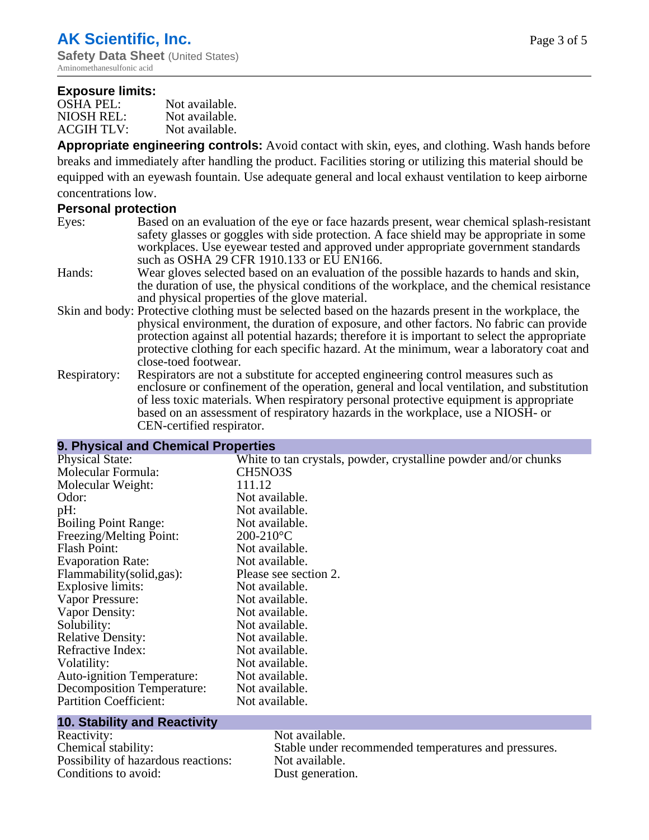#### **Exposure limits:**

| <b>OSHA PEL:</b>  | Not available. |
|-------------------|----------------|
| NIOSH REL:        | Not available. |
| <b>ACGIH TLV:</b> | Not available. |

**Appropriate engineering controls:** Avoid contact with skin, eyes, and clothing. Wash hands before breaks and immediately after handling the product. Facilities storing or utilizing this material should be equipped with an eyewash fountain. Use adequate general and local exhaust ventilation to keep airborne concentrations low.

#### **Personal protection**

- Eyes: Based on an evaluation of the eye or face hazards present, wear chemical splash-resistant safety glasses or goggles with side protection. A face shield may be appropriate in some workplaces. Use eyewear tested and approved under appropriate government standards such as OSHA 29 CFR 1910.133 or EU EN166.
- Hands: Wear gloves selected based on an evaluation of the possible hazards to hands and skin, the duration of use, the physical conditions of the workplace, and the chemical resistance and physical properties of the glove material.
- Skin and body: Protective clothing must be selected based on the hazards present in the workplace, the physical environment, the duration of exposure, and other factors. No fabric can provide protection against all potential hazards; therefore it is important to select the appropriate protective clothing for each specific hazard. At the minimum, wear a laboratory coat and close-toed footwear.
- Respiratory: Respirators are not a substitute for accepted engineering control measures such as enclosure or confinement of the operation, general and local ventilation, and substitution of less toxic materials. When respiratory personal protective equipment is appropriate based on an assessment of respiratory hazards in the workplace, use a NIOSH- or CEN-certified respirator.

### **9. Physical and Chemical Properties**

| <b>Physical State:</b>            | White to tan crystals, powder, crystalline powder and/or chunks |
|-----------------------------------|-----------------------------------------------------------------|
| Molecular Formula:                | CH5NO3S                                                         |
| Molecular Weight:                 | 111.12                                                          |
| Odor:                             | Not available.                                                  |
| pH:                               | Not available.                                                  |
| <b>Boiling Point Range:</b>       | Not available.                                                  |
| Freezing/Melting Point:           | $200-210$ °C                                                    |
| Flash Point:                      | Not available.                                                  |
| <b>Evaporation Rate:</b>          | Not available.                                                  |
| Flammability (solid, gas):        | Please see section 2.                                           |
| Explosive limits:                 | Not available.                                                  |
| Vapor Pressure:                   | Not available.                                                  |
| Vapor Density:                    | Not available.                                                  |
| Solubility:                       | Not available.                                                  |
| <b>Relative Density:</b>          | Not available.                                                  |
| Refractive Index:                 | Not available.                                                  |
| Volatility:                       | Not available.                                                  |
| <b>Auto-ignition Temperature:</b> | Not available.                                                  |
| Decomposition Temperature:        | Not available.                                                  |
| <b>Partition Coefficient:</b>     | Not available.                                                  |
|                                   |                                                                 |

#### **10. Stability and Reactivity**

Reactivity: Not available. Possibility of hazardous reactions: Not available. Conditions to avoid: Dust generation.

Chemical stability: Stable under recommended temperatures and pressures.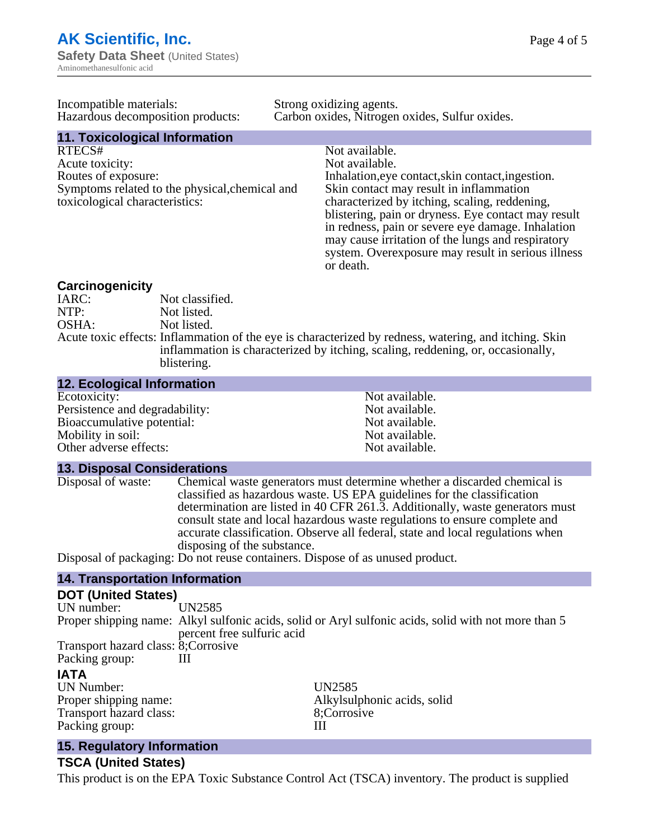| Incompatible materials:                                                                                                              | Strong oxidizing agents.                                                                                                                                                                                                                                                                      |  |
|--------------------------------------------------------------------------------------------------------------------------------------|-----------------------------------------------------------------------------------------------------------------------------------------------------------------------------------------------------------------------------------------------------------------------------------------------|--|
| Hazardous decomposition products:                                                                                                    | Carbon oxides, Nitrogen oxides, Sulfur oxides.                                                                                                                                                                                                                                                |  |
| <b>11. Toxicological Information</b>                                                                                                 |                                                                                                                                                                                                                                                                                               |  |
| RTECS#<br>Acute toxicity:<br>Routes of exposure:<br>Symptoms related to the physical, chemical and<br>toxicological characteristics: | Not available.<br>Not available.<br>Inhalation, eye contact, skin contact, ingestion.<br>Skin contact may result in inflammation<br>characterized by itching, scaling, reddening,<br>blistering, pain or dryness. Eye contact may result<br>in redness, pain or severe eye damage. Inhalation |  |
|                                                                                                                                      | may cause irritation of the lungs and respiratory                                                                                                                                                                                                                                             |  |

**Carcinogenicity** IARC: Not classified.<br>Not listed. NTP:<br>
OSHA: Not listed.<br>
Not listed. Not listed. Acute toxic effects: Inflammation of the eye is characterized by redness, watering, and itching. Skin inflammation is characterized by itching, scaling, reddening, or, occasionally, blistering.

or death.

#### **12. Ecological Information**

| Not available. |
|----------------|
| Not available. |
| Not available. |
| Not available. |
| Not available. |
|                |

#### **13. Disposal Considerations**

| Disposal of waste: | Chemical waste generators must determine whether a discarded chemical is       |
|--------------------|--------------------------------------------------------------------------------|
|                    | classified as hazardous waste. US EPA guidelines for the classification        |
|                    | determination are listed in 40 CFR 261.3. Additionally, waste generators must  |
|                    | consult state and local hazardous waste regulations to ensure complete and     |
|                    | accurate classification. Observe all federal, state and local regulations when |
|                    | disposing of the substance.                                                    |
|                    | Disposal of packaging: Do not reuse containers. Dispose of as unused product.  |
|                    |                                                                                |

#### **14. Transportation Information**

# **DOT (United States)**

| UN number:                           | UN2585                     |                                                                                                      |
|--------------------------------------|----------------------------|------------------------------------------------------------------------------------------------------|
|                                      | percent free sulfuric acid | Proper shipping name: Alkyl sulfonic acids, solid or Aryl sulfonic acids, solid with not more than 5 |
| Transport hazard class: 8; Corrosive |                            |                                                                                                      |
| Packing group:                       | Ш                          |                                                                                                      |
| <b>IATA</b>                          |                            |                                                                                                      |
| <b>UN Number:</b>                    |                            | UN2585                                                                                               |
| Proper shipping name:                |                            | Alkylsulphonic acids, solid                                                                          |
| Transport hazard class:              |                            | 8;Corrosive                                                                                          |
| Packing group:                       |                            | Ш                                                                                                    |
|                                      |                            |                                                                                                      |

## **15. Regulatory Information**

#### **TSCA (United States)**

This product is on the EPA Toxic Substance Control Act (TSCA) inventory. The product is supplied

system. Overexposure may result in serious illness